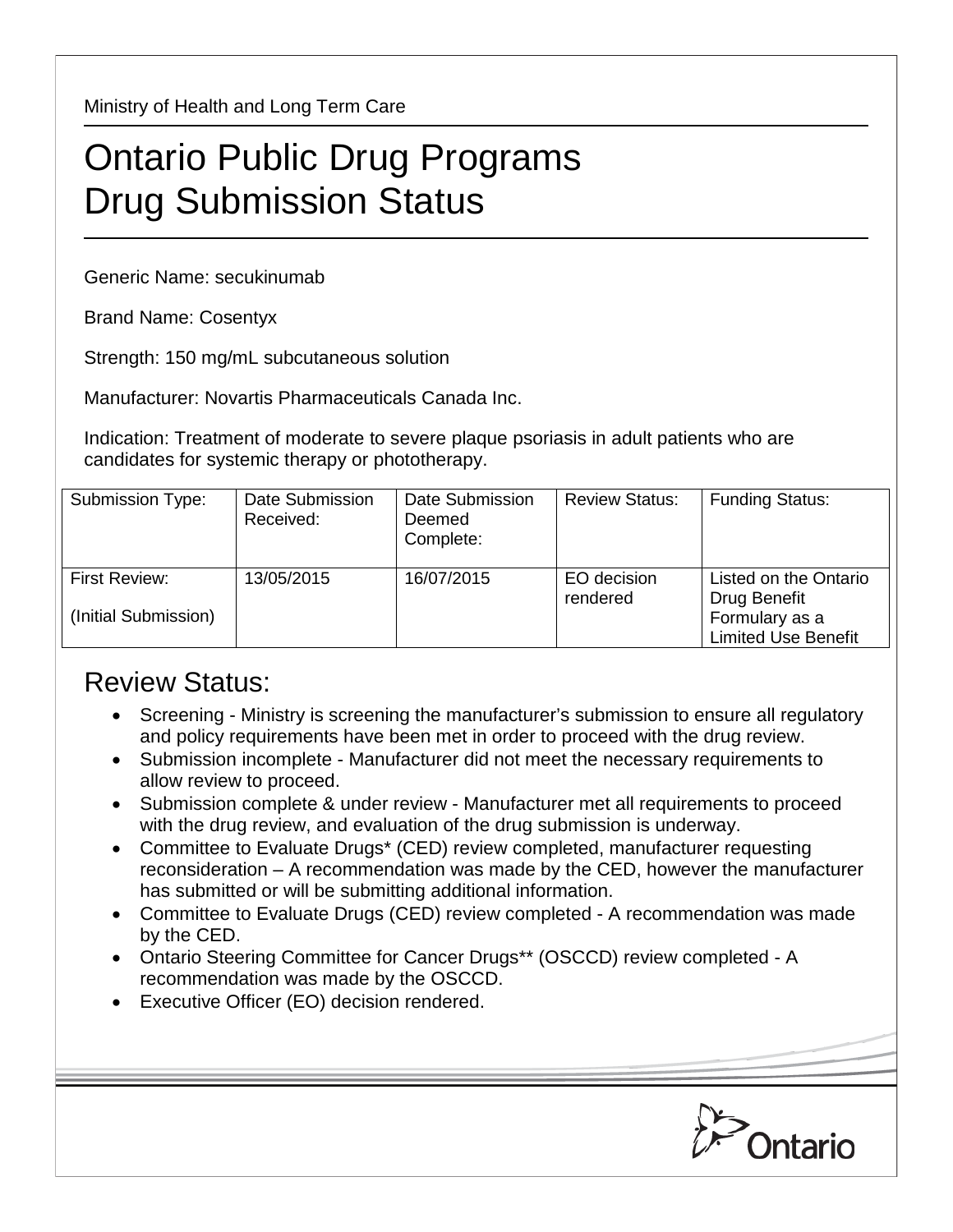Ministry of Health and Long Term Care

## Ontario Public Drug Programs Drug Submission Status

Generic Name: secukinumab

Brand Name: Cosentyx

Strength: 150 mg/mL subcutaneous solution

Manufacturer: Novartis Pharmaceuticals Canada Inc.

Indication: Treatment of moderate to severe plaque psoriasis in adult patients who are candidates for systemic therapy or phototherapy.

| Submission Type:                      | Date Submission<br>Received: | Date Submission<br>Deemed<br>Complete: | <b>Review Status:</b>   | <b>Funding Status:</b>                                  |
|---------------------------------------|------------------------------|----------------------------------------|-------------------------|---------------------------------------------------------|
| First Review:<br>(Initial Submission) | 13/05/2015                   | 16/07/2015                             | EO decision<br>rendered | Listed on the Ontario<br>Drug Benefit<br>Formulary as a |
|                                       |                              |                                        |                         | <b>Limited Use Benefit</b>                              |

## Review Status:

- Screening Ministry is screening the manufacturer's submission to ensure all regulatory and policy requirements have been met in order to proceed with the drug review.
- Submission incomplete Manufacturer did not meet the necessary requirements to allow review to proceed.
- Submission complete & under review Manufacturer met all requirements to proceed with the drug review, and evaluation of the drug submission is underway.
- Committee to Evaluate Drugs\* (CED) review completed, manufacturer requesting reconsideration – A recommendation was made by the CED, however the manufacturer has submitted or will be submitting additional information.
- Committee to Evaluate Drugs (CED) review completed A recommendation was made by the CED.
- Ontario Steering Committee for Cancer Drugs\*\* (OSCCD) review completed A recommendation was made by the OSCCD.
- Executive Officer (EO) decision rendered.